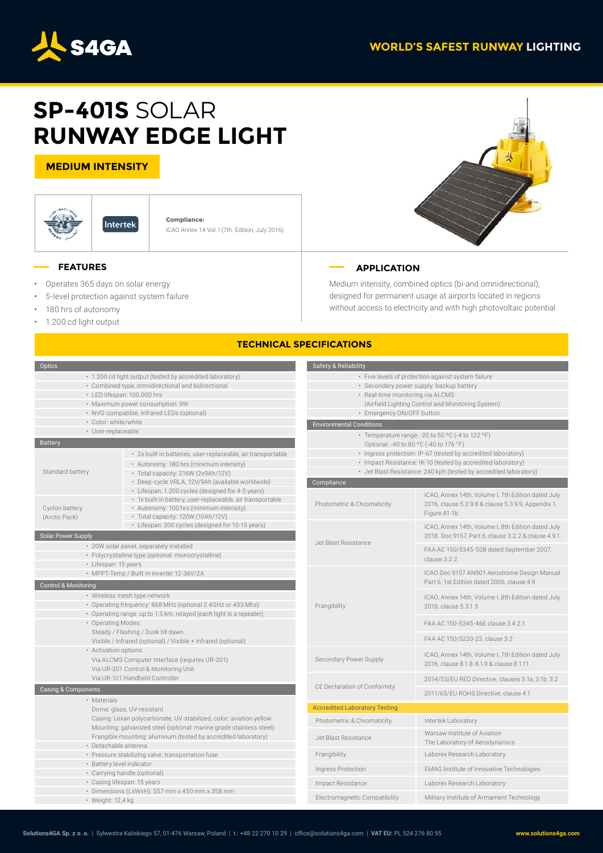

# **SP-401S** SOLAR **RUNWAY EDGE LIGHT**

#### **MEDIUM INTENSITY**



**Compliance:** ICAO Annex 14 Vol. I (7th. Edition, July 2016)

- Operates 365 days on solar energy
- 5-level protection against system failure

Intertek

- 180 hrs of autonomy
- 1.200 cd light output



#### **FEATURES APPLICATION**

Medium intensity, combined optics (bi-and omnidirectional); designed for permanent usage at airports located in regions without access to electricity and with high photovoltaic potential.

### **TECHNICAL SPECIFICATIONS**

Safety & Reliability

| <b>Optics</b>                             |                                                                                                       |  |  |  |  |  |  |  |  |  |  |
|-------------------------------------------|-------------------------------------------------------------------------------------------------------|--|--|--|--|--|--|--|--|--|--|
|                                           | • 1.200 cd light output (tested by accredited laboratory)                                             |  |  |  |  |  |  |  |  |  |  |
|                                           | • Combined type, omnidirectional and bidirectional                                                    |  |  |  |  |  |  |  |  |  |  |
|                                           | · LED lifespan: 100.000 hrs                                                                           |  |  |  |  |  |  |  |  |  |  |
|                                           | · Maximum power consumption: 9W                                                                       |  |  |  |  |  |  |  |  |  |  |
|                                           | · NVG-compatible, Infrared LEDs (optional)                                                            |  |  |  |  |  |  |  |  |  |  |
| · Color: white/white                      |                                                                                                       |  |  |  |  |  |  |  |  |  |  |
| · User-replaceable                        |                                                                                                       |  |  |  |  |  |  |  |  |  |  |
| <b>Battery</b>                            |                                                                                                       |  |  |  |  |  |  |  |  |  |  |
|                                           |                                                                                                       |  |  |  |  |  |  |  |  |  |  |
|                                           | · 2x built-in batteries, user-replaceable, air transportable                                          |  |  |  |  |  |  |  |  |  |  |
| Standard battery                          | · Autonomy: 180 hrs (minimum intensity)                                                               |  |  |  |  |  |  |  |  |  |  |
|                                           | · Total capacity: 216W (2x9Ah/12V)                                                                    |  |  |  |  |  |  |  |  |  |  |
|                                           | · Deep-cycle VRLA, 12V/9Ah (available worldwide)<br>• Lifespan: 1.200 cycles (designed for 4-5 years) |  |  |  |  |  |  |  |  |  |  |
|                                           | • 1x built-in battery, user-replaceable, air transportable                                            |  |  |  |  |  |  |  |  |  |  |
| Cyclon battery                            | · Autonomy: 100 hrs (minimum intensity)                                                               |  |  |  |  |  |  |  |  |  |  |
| (Arctic Pack)                             | • Total capacity: 120W (10Ah/12V)                                                                     |  |  |  |  |  |  |  |  |  |  |
|                                           | · Lifespan: 300 cycles (designed for 10-15 years)                                                     |  |  |  |  |  |  |  |  |  |  |
| <b>Solar Power Supply</b>                 |                                                                                                       |  |  |  |  |  |  |  |  |  |  |
|                                           | · 20W solar panel, separately installed                                                               |  |  |  |  |  |  |  |  |  |  |
|                                           | · Polycrystalline type (optional: monocrystalline)                                                    |  |  |  |  |  |  |  |  |  |  |
| · Lifespan: 15 years                      |                                                                                                       |  |  |  |  |  |  |  |  |  |  |
|                                           |                                                                                                       |  |  |  |  |  |  |  |  |  |  |
| · MPPT-Temp / Built-in inverter 12-36V/2A |                                                                                                       |  |  |  |  |  |  |  |  |  |  |
| <b>Control &amp; Monitoring</b>           |                                                                                                       |  |  |  |  |  |  |  |  |  |  |
|                                           | · Wireless mesh type network                                                                          |  |  |  |  |  |  |  |  |  |  |
|                                           | • Operating frequency: 868 MHz (optional 2.4GHz or 433 Mhz)                                           |  |  |  |  |  |  |  |  |  |  |
|                                           | • Operating range: up to 1.5 km, relayed (each light is a repeater)                                   |  |  |  |  |  |  |  |  |  |  |
| • Operating Modes:                        |                                                                                                       |  |  |  |  |  |  |  |  |  |  |
|                                           | Steady / Flashing / Dusk till dawn                                                                    |  |  |  |  |  |  |  |  |  |  |
| • Activation options:                     | Visible / Infrared (optional) / Visible + Infrared (optional)                                         |  |  |  |  |  |  |  |  |  |  |
|                                           |                                                                                                       |  |  |  |  |  |  |  |  |  |  |
|                                           | Via ALCMS Computer Interface (requires UR-201)<br>Via UR-201 Control & Monitoring Unit                |  |  |  |  |  |  |  |  |  |  |
|                                           | Via UR-101 Handheld Controller                                                                        |  |  |  |  |  |  |  |  |  |  |
|                                           |                                                                                                       |  |  |  |  |  |  |  |  |  |  |
| <b>Casing &amp; Components</b>            |                                                                                                       |  |  |  |  |  |  |  |  |  |  |
| • Materials                               |                                                                                                       |  |  |  |  |  |  |  |  |  |  |
|                                           | Dome: glass, UV-resistant                                                                             |  |  |  |  |  |  |  |  |  |  |
|                                           | Casing: Lexan polycarbonate, UV-stabilized, color: aviation yellow                                    |  |  |  |  |  |  |  |  |  |  |
|                                           | Mounting: galvanized steel (optional: marine grade stainless steel)                                   |  |  |  |  |  |  |  |  |  |  |
| · Detachable antenna                      | Frangible mounting: aluminum (tested by accredited laboratory)                                        |  |  |  |  |  |  |  |  |  |  |
|                                           | · Pressure stabilizing valve, transportation fuse                                                     |  |  |  |  |  |  |  |  |  |  |
| · Battery level indicator                 |                                                                                                       |  |  |  |  |  |  |  |  |  |  |
|                                           | · Carrying handle (optional)                                                                          |  |  |  |  |  |  |  |  |  |  |
|                                           | • Casing lifespan: 15 years                                                                           |  |  |  |  |  |  |  |  |  |  |
|                                           | · Dimensions (LxWxH): 557 mm x 450 mm x 358 mm                                                        |  |  |  |  |  |  |  |  |  |  |
| $\cdot$ Weight: 12,4 kg                   |                                                                                                       |  |  |  |  |  |  |  |  |  |  |
|                                           |                                                                                                       |  |  |  |  |  |  |  |  |  |  |

| · Five levels of protection against system failure<br>· Secondary power supply: backup battery                                                                                                                                                                                                                 |                                                                                                                          |  |  |  |  |  |  |  |  |  |  |  |  |
|----------------------------------------------------------------------------------------------------------------------------------------------------------------------------------------------------------------------------------------------------------------------------------------------------------------|--------------------------------------------------------------------------------------------------------------------------|--|--|--|--|--|--|--|--|--|--|--|--|
| · Real-time monitoring via ALCMS                                                                                                                                                                                                                                                                               | (Airfield Lighting Control and Monitoring System)                                                                        |  |  |  |  |  |  |  |  |  |  |  |  |
| · Emergency ON/OFF button                                                                                                                                                                                                                                                                                      |                                                                                                                          |  |  |  |  |  |  |  |  |  |  |  |  |
| <b>Environmental Conditions</b>                                                                                                                                                                                                                                                                                |                                                                                                                          |  |  |  |  |  |  |  |  |  |  |  |  |
| • Temperature range: -20 to 50 °C (-4 to 122 °F)<br>Optional: -40 to 80 °C (-40 to 176 °F)<br>· Ingress protection: IP-67 (tested by accredited laboratory)<br>· Impact Resistance: IK-10 (tested by accredited laboratory)<br>· Jet Blast Resistance: 240 kph (tested by accredited laboratory)<br>Compliance |                                                                                                                          |  |  |  |  |  |  |  |  |  |  |  |  |
| Photometric & Chromaticity                                                                                                                                                                                                                                                                                     | ICAO, Annex 14th, Volume I, 7th Edition dated July<br>2016, clause 5.3.9.8 & clause 5.3.9.9, Appendix 1,<br>Figure A1-1b |  |  |  |  |  |  |  |  |  |  |  |  |
|                                                                                                                                                                                                                                                                                                                | ICAO, Annex 14th, Volume I, 8th Edition dated July<br>2018. Doc 9157, Part 6, clause 3.2.2 & clause 4.9.1.               |  |  |  |  |  |  |  |  |  |  |  |  |
| Jet Blast Resistance                                                                                                                                                                                                                                                                                           | FAA AC 150/5345-50B dated September 2007,<br>clause 3.2.2                                                                |  |  |  |  |  |  |  |  |  |  |  |  |
|                                                                                                                                                                                                                                                                                                                | ICAO Doc 9157 AN901 Aerodrome Design Manual<br>Part 6, 1st Edition dated 2006, clause 4.9                                |  |  |  |  |  |  |  |  |  |  |  |  |
| Frangibility                                                                                                                                                                                                                                                                                                   | ICAO, Annex 14th, Volume I, 8th Edition dated July<br>2018, clause 5.3.1.3                                               |  |  |  |  |  |  |  |  |  |  |  |  |
|                                                                                                                                                                                                                                                                                                                | FAA AC 150-5345-46E clause 3.4.2.1                                                                                       |  |  |  |  |  |  |  |  |  |  |  |  |
|                                                                                                                                                                                                                                                                                                                | FAA AC 150/5220-23, clause 3.2                                                                                           |  |  |  |  |  |  |  |  |  |  |  |  |
| Secondary Power Supply                                                                                                                                                                                                                                                                                         | ICAO, Annex 14th, Volume I, 7th Edition dated July<br>2016, clause 8.1.8-8.1.9 & clause 8.1.11                           |  |  |  |  |  |  |  |  |  |  |  |  |
| CE Declaration of Conformity                                                                                                                                                                                                                                                                                   | 2014/53/EU RED Directive, clauses 3.1a, 3.1b, 3.2                                                                        |  |  |  |  |  |  |  |  |  |  |  |  |
|                                                                                                                                                                                                                                                                                                                | 2011/65/EU ROHS Directive, clause 4.1                                                                                    |  |  |  |  |  |  |  |  |  |  |  |  |
| <b>Accredited Laboratory Testing</b>                                                                                                                                                                                                                                                                           |                                                                                                                          |  |  |  |  |  |  |  |  |  |  |  |  |
| Photometric & Chromaticity                                                                                                                                                                                                                                                                                     | Intertek Laboratory                                                                                                      |  |  |  |  |  |  |  |  |  |  |  |  |
| Jet Blast Resistance                                                                                                                                                                                                                                                                                           | Warsaw Institute of Aviation<br>The Laboratory of Aerodynamics                                                           |  |  |  |  |  |  |  |  |  |  |  |  |
| Frangibility                                                                                                                                                                                                                                                                                                   | Laborex Research Laboratory                                                                                              |  |  |  |  |  |  |  |  |  |  |  |  |
| Ingress Protection                                                                                                                                                                                                                                                                                             | <b>EMAG Institute of Innovative Technologies</b>                                                                         |  |  |  |  |  |  |  |  |  |  |  |  |
| Impact Resistance                                                                                                                                                                                                                                                                                              | Laborex Research Laboratory                                                                                              |  |  |  |  |  |  |  |  |  |  |  |  |
| Electromagnetic Compatibility                                                                                                                                                                                                                                                                                  | Military Institute of Armament Technology                                                                                |  |  |  |  |  |  |  |  |  |  |  |  |